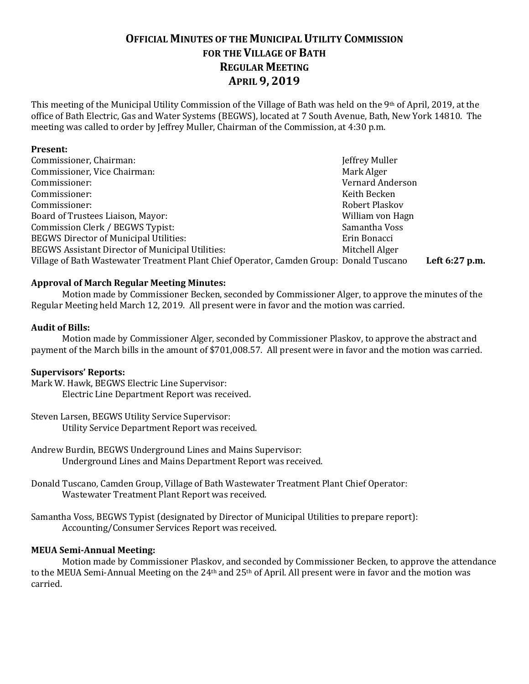## **OFFICIAL MINUTES OF THE MUNICIPAL UTILITY COMMISSION FOR THE VILLAGE OF BATH REGULAR MEETING APRIL 9, 2019**

This meeting of the Municipal Utility Commission of the Village of Bath was held on the 9th of April, 2019, at the office of Bath Electric, Gas and Water Systems (BEGWS), located at 7 South Avenue, Bath, New York 14810. The meeting was called to order by Jeffrey Muller, Chairman of the Commission, at 4:30 p.m.

#### **Present:**

| Commissioner, Chairman:                                                                 | Jeffrey Muller   |                |
|-----------------------------------------------------------------------------------------|------------------|----------------|
| Commissioner, Vice Chairman:                                                            | Mark Alger       |                |
| Commissioner:                                                                           | Vernard Anderson |                |
| Commissioner:                                                                           | Keith Becken     |                |
| Commissioner:                                                                           | Robert Plaskov   |                |
| Board of Trustees Liaison, Mayor:                                                       | William von Hagn |                |
| Commission Clerk / BEGWS Typist:                                                        | Samantha Voss    |                |
| <b>BEGWS Director of Municipal Utilities:</b>                                           | Erin Bonacci     |                |
| <b>BEGWS Assistant Director of Municipal Utilities:</b>                                 | Mitchell Alger   |                |
| Village of Bath Wastewater Treatment Plant Chief Operator, Camden Group: Donald Tuscano |                  | Left 6:27 p.m. |

#### **Approval of March Regular Meeting Minutes:**

Motion made by Commissioner Becken, seconded by Commissioner Alger, to approve the minutes of the Regular Meeting held March 12, 2019. All present were in favor and the motion was carried.

#### **Audit of Bills:**

Motion made by Commissioner Alger, seconded by Commissioner Plaskov, to approve the abstract and payment of the March bills in the amount of \$701,008.57. All present were in favor and the motion was carried.

#### **Supervisors' Reports:**

Mark W. Hawk, BEGWS Electric Line Supervisor: Electric Line Department Report was received.

- Steven Larsen, BEGWS Utility Service Supervisor: Utility Service Department Report was received.
- Andrew Burdin, BEGWS Underground Lines and Mains Supervisor: Underground Lines and Mains Department Report was received.
- Donald Tuscano, Camden Group, Village of Bath Wastewater Treatment Plant Chief Operator: Wastewater Treatment Plant Report was received.
- Samantha Voss, BEGWS Typist (designated by Director of Municipal Utilities to prepare report): Accounting/Consumer Services Report was received.

#### **MEUA Semi-Annual Meeting:**

Motion made by Commissioner Plaskov, and seconded by Commissioner Becken, to approve the attendance to the MEUA Semi-Annual Meeting on the 24<sup>th</sup> and 25<sup>th</sup> of April. All present were in favor and the motion was carried.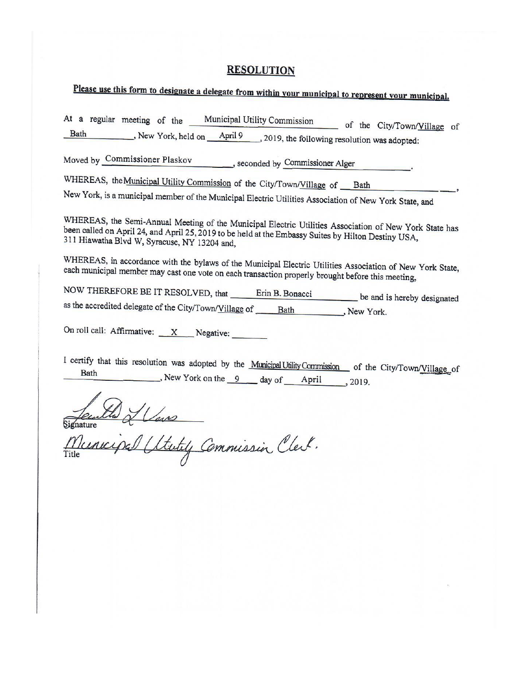# **RESOLUTION**

# Please use this form to designate a delegate from within your municipal to represent your municipal.

| At a regular meeting of the Municipal Utility Commission of the City/Town/Village of                                                                                                                                                                          |
|---------------------------------------------------------------------------------------------------------------------------------------------------------------------------------------------------------------------------------------------------------------|
| Bath , New York, held on April 9, 2019, the following resolution was adopted:                                                                                                                                                                                 |
| Moved by Commissioner Plaskov seconded by Commissioner Alger                                                                                                                                                                                                  |
| WHEREAS, the Municipal Utility Commission of the City/Town/Village of __ Bath                                                                                                                                                                                 |
| New York, is a municipal member of the Municipal Electric Utilities Association of New York State, and                                                                                                                                                        |
| WHEREAS, the Semi-Annual Meeting of the Municipal Electric Utilities Association of New York State has<br>been called on April 24, and April 25, 2019 to be held at the Embassy Suites by Hilton Destiny USA,<br>311 Hiawatha Blvd W, Syracuse, NY 13204 and, |
| WHEREAS, in accordance with the bylaws of the Municipal Electric Utilities Association of New York State,<br>each municipal member may cast one vote on each transaction properly brought before this meeting,                                                |
| NOW THEREFORE BE IT RESOLVED, that Frin B. Bonacci be and is hereby designated                                                                                                                                                                                |
|                                                                                                                                                                                                                                                               |
| On roll call: Affirmative: $\overline{X}$ Negative:                                                                                                                                                                                                           |
| I certify that this resolution was adopted by the Municipal Utility Commission of the City/Town/Village of<br>Bath<br>New York on the $\overline{9}$ day of April , 2019.                                                                                     |
| Signature                                                                                                                                                                                                                                                     |
| Stately Commission Clerk.<br>Title                                                                                                                                                                                                                            |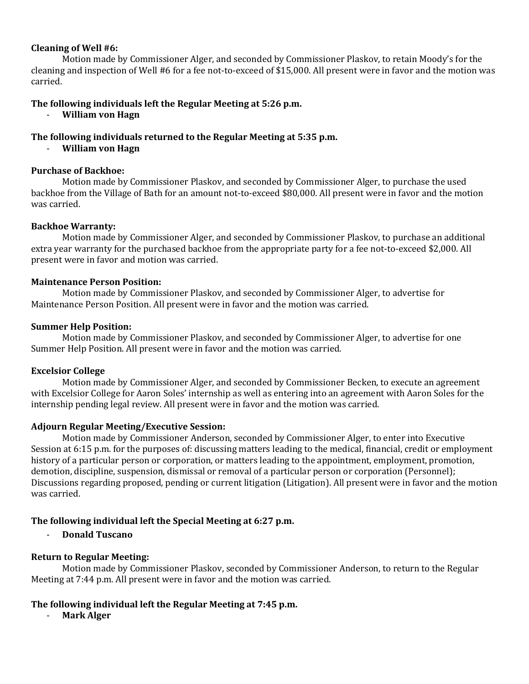#### **Cleaning of Well #6:**

Motion made by Commissioner Alger, and seconded by Commissioner Plaskov, to retain Moody's for the cleaning and inspection of Well #6 for a fee not-to-exceed of \$15,000. All present were in favor and the motion was carried.

#### **The following individuals left the Regular Meeting at 5:26 p.m.**

- **William von Hagn**

#### **The following individuals returned to the Regular Meeting at 5:35 p.m.**

- **William von Hagn**

#### **Purchase of Backhoe:**

Motion made by Commissioner Plaskov, and seconded by Commissioner Alger, to purchase the used backhoe from the Village of Bath for an amount not-to-exceed \$80,000. All present were in favor and the motion was carried.

#### **Backhoe Warranty:**

Motion made by Commissioner Alger, and seconded by Commissioner Plaskov, to purchase an additional extra year warranty for the purchased backhoe from the appropriate party for a fee not-to-exceed \$2,000. All present were in favor and motion was carried.

#### **Maintenance Person Position:**

Motion made by Commissioner Plaskov, and seconded by Commissioner Alger, to advertise for Maintenance Person Position. All present were in favor and the motion was carried.

#### **Summer Help Position:**

Motion made by Commissioner Plaskov, and seconded by Commissioner Alger, to advertise for one Summer Help Position. All present were in favor and the motion was carried.

#### **Excelsior College**

Motion made by Commissioner Alger, and seconded by Commissioner Becken, to execute an agreement with Excelsior College for Aaron Soles' internship as well as entering into an agreement with Aaron Soles for the internship pending legal review. All present were in favor and the motion was carried.

#### **Adjourn Regular Meeting/Executive Session:**

Motion made by Commissioner Anderson, seconded by Commissioner Alger, to enter into Executive Session at 6:15 p.m. for the purposes of: discussing matters leading to the medical, financial, credit or employment history of a particular person or corporation, or matters leading to the appointment, employment, promotion, demotion, discipline, suspension, dismissal or removal of a particular person or corporation (Personnel); Discussions regarding proposed, pending or current litigation (Litigation). All present were in favor and the motion was carried.

#### **The following individual left the Special Meeting at 6:27 p.m.**

- **Donald Tuscano**

#### **Return to Regular Meeting:**

Motion made by Commissioner Plaskov, seconded by Commissioner Anderson, to return to the Regular Meeting at 7:44 p.m. All present were in favor and the motion was carried.

#### **The following individual left the Regular Meeting at 7:45 p.m.**

- **Mark Alger**